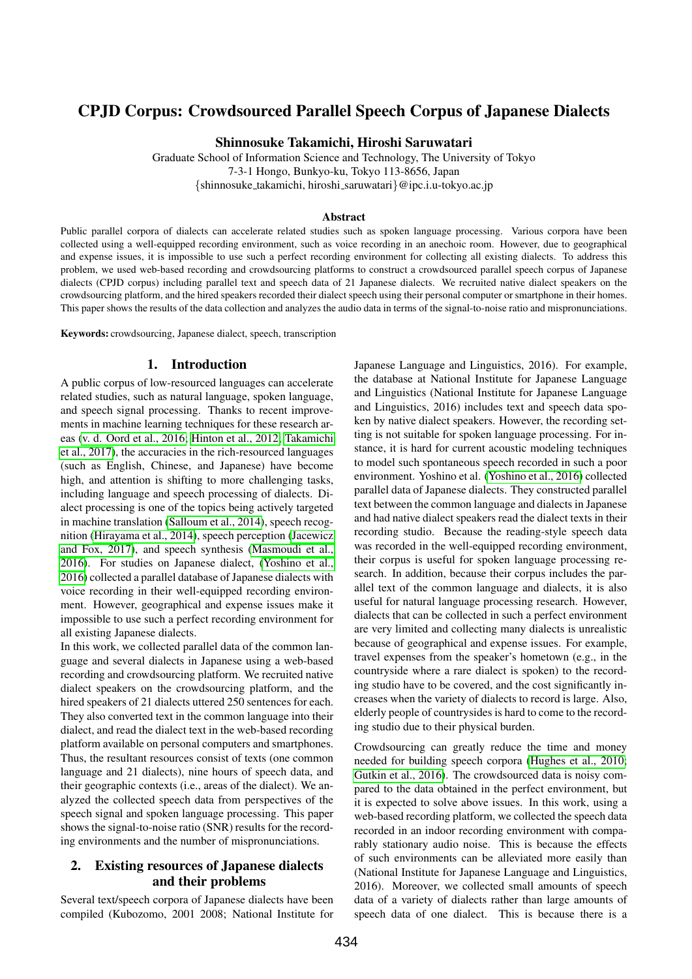# CPJD Corpus: Crowdsourced Parallel Speech Corpus of Japanese Dialects

Shinnosuke Takamichi, Hiroshi Saruwatari

Graduate School of Information Science and Technology, The University of Tokyo 7-3-1 Hongo, Bunkyo-ku, Tokyo 113-8656, Japan

{shinnosuke takamichi, hiroshi saruwatari}@ipc.i.u-tokyo.ac.jp

#### Abstract

Public parallel corpora of dialects can accelerate related studies such as spoken language processing. Various corpora have been collected using a well-equipped recording environment, such as voice recording in an anechoic room. However, due to geographical and expense issues, it is impossible to use such a perfect recording environment for collecting all existing dialects. To address this problem, we used web-based recording and crowdsourcing platforms to construct a crowdsourced parallel speech corpus of Japanese dialects (CPJD corpus) including parallel text and speech data of 21 Japanese dialects. We recruited native dialect speakers on the crowdsourcing platform, and the hired speakers recorded their dialect speech using their personal computer or smartphone in their homes. This paper shows the results of the data collection and analyzes the audio data in terms of the signal-to-noise ratio and mispronunciations.

Keywords: crowdsourcing, Japanese dialect, speech, transcription

#### 1. Introduction

A public corpus of low-resourced languages can accelerate related studies, such as natural language, spoken language, and speech signal processing. Thanks to recent improvements in machine learning techniques for these research areas [\(v. d. Oord et al., 2016;](#page-3-0) [Hinton et al., 2012;](#page-3-1) [Takamichi](#page-3-2) [et al., 2017\)](#page-3-2), the accuracies in the rich-resourced languages (such as English, Chinese, and Japanese) have become high, and attention is shifting to more challenging tasks, including language and speech processing of dialects. Dialect processing is one of the topics being actively targeted in machine translation [\(Salloum et al., 2014\)](#page-3-3), speech recognition [\(Hirayama et al., 2014\)](#page-3-4), speech perception [\(Jacewicz](#page-3-5) [and Fox, 2017\)](#page-3-5), and speech synthesis [\(Masmoudi et al.,](#page-3-6) [2016\)](#page-3-6). For studies on Japanese dialect, [\(Yoshino et al.,](#page-3-7) [2016\)](#page-3-7) collected a parallel database of Japanese dialects with voice recording in their well-equipped recording environment. However, geographical and expense issues make it impossible to use such a perfect recording environment for all existing Japanese dialects.

In this work, we collected parallel data of the common language and several dialects in Japanese using a web-based recording and crowdsourcing platform. We recruited native dialect speakers on the crowdsourcing platform, and the hired speakers of 21 dialects uttered 250 sentences for each. They also converted text in the common language into their dialect, and read the dialect text in the web-based recording platform available on personal computers and smartphones. Thus, the resultant resources consist of texts (one common language and 21 dialects), nine hours of speech data, and their geographic contexts (i.e., areas of the dialect). We analyzed the collected speech data from perspectives of the speech signal and spoken language processing. This paper shows the signal-to-noise ratio (SNR) results for the recording environments and the number of mispronunciations.

## 2. Existing resources of Japanese dialects and their problems

Several text/speech corpora of Japanese dialects have been compiled (Kubozomo, 2001 2008; National Institute for Japanese Language and Linguistics, 2016). For example, the database at National Institute for Japanese Language and Linguistics (National Institute for Japanese Language and Linguistics, 2016) includes text and speech data spoken by native dialect speakers. However, the recording setting is not suitable for spoken language processing. For instance, it is hard for current acoustic modeling techniques to model such spontaneous speech recorded in such a poor environment. Yoshino et al. [\(Yoshino et al., 2016\)](#page-3-7) collected parallel data of Japanese dialects. They constructed parallel text between the common language and dialects in Japanese and had native dialect speakers read the dialect texts in their recording studio. Because the reading-style speech data was recorded in the well-equipped recording environment, their corpus is useful for spoken language processing research. In addition, because their corpus includes the parallel text of the common language and dialects, it is also useful for natural language processing research. However, dialects that can be collected in such a perfect environment are very limited and collecting many dialects is unrealistic because of geographical and expense issues. For example, travel expenses from the speaker's hometown (e.g., in the countryside where a rare dialect is spoken) to the recording studio have to be covered, and the cost significantly increases when the variety of dialects to record is large. Also, elderly people of countrysides is hard to come to the recording studio due to their physical burden.

Crowdsourcing can greatly reduce the time and money needed for building speech corpora [\(Hughes et al., 2010;](#page-3-8) [Gutkin et al., 2016\)](#page-3-9). The crowdsourced data is noisy compared to the data obtained in the perfect environment, but it is expected to solve above issues. In this work, using a web-based recording platform, we collected the speech data recorded in an indoor recording environment with comparably stationary audio noise. This is because the effects of such environments can be alleviated more easily than (National Institute for Japanese Language and Linguistics, 2016). Moreover, we collected small amounts of speech data of a variety of dialects rather than large amounts of speech data of one dialect. This is because there is a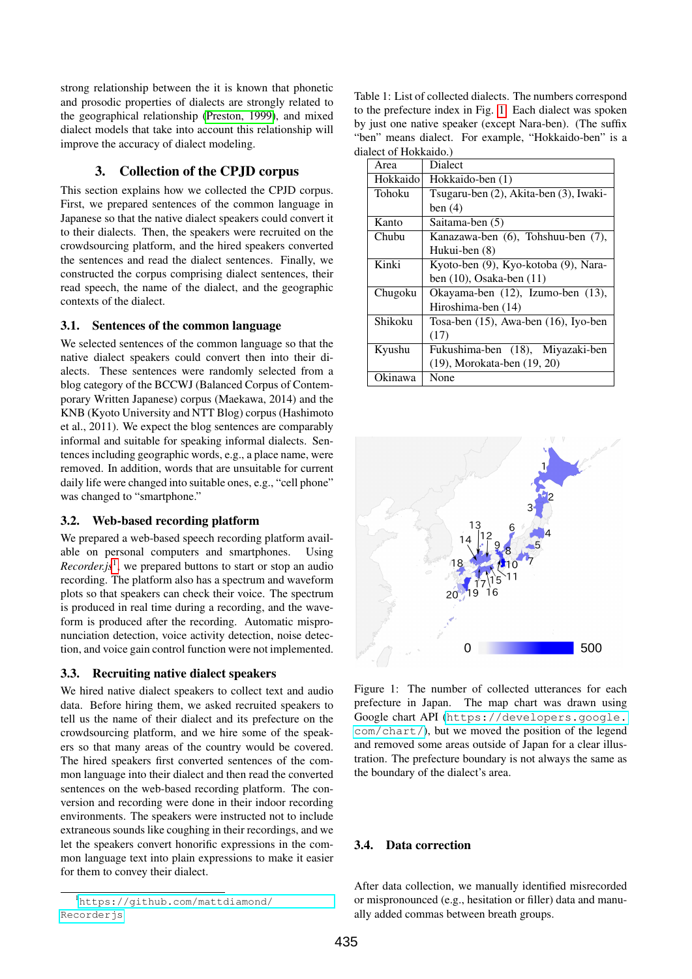strong relationship between the it is known that phonetic and prosodic properties of dialects are strongly related to the geographical relationship [\(Preston, 1999\)](#page-3-10), and mixed dialect models that take into account this relationship will improve the accuracy of dialect modeling.

## 3. Collection of the CPJD corpus

This section explains how we collected the CPJD corpus. First, we prepared sentences of the common language in Japanese so that the native dialect speakers could convert it to their dialects. Then, the speakers were recruited on the crowdsourcing platform, and the hired speakers converted the sentences and read the dialect sentences. Finally, we constructed the corpus comprising dialect sentences, their read speech, the name of the dialect, and the geographic contexts of the dialect.

### 3.1. Sentences of the common language

We selected sentences of the common language so that the native dialect speakers could convert then into their dialects. These sentences were randomly selected from a blog category of the BCCWJ (Balanced Corpus of Contemporary Written Japanese) corpus (Maekawa, 2014) and the KNB (Kyoto University and NTT Blog) corpus (Hashimoto et al., 2011). We expect the blog sentences are comparably informal and suitable for speaking informal dialects. Sentences including geographic words, e.g., a place name, were removed. In addition, words that are unsuitable for current daily life were changed into suitable ones, e.g., "cell phone" was changed to "smartphone."

### 3.2. Web-based recording platform

We prepared a web-based speech recording platform available on personal computers and smartphones. Using *Recorder.js*[1](#page-1-0) , we prepared buttons to start or stop an audio recording. The platform also has a spectrum and waveform plots so that speakers can check their voice. The spectrum is produced in real time during a recording, and the waveform is produced after the recording. Automatic mispronunciation detection, voice activity detection, noise detection, and voice gain control function were not implemented.

## 3.3. Recruiting native dialect speakers

We hired native dialect speakers to collect text and audio data. Before hiring them, we asked recruited speakers to tell us the name of their dialect and its prefecture on the crowdsourcing platform, and we hire some of the speakers so that many areas of the country would be covered. The hired speakers first converted sentences of the common language into their dialect and then read the converted sentences on the web-based recording platform. The conversion and recording were done in their indoor recording environments. The speakers were instructed not to include extraneous sounds like coughing in their recordings, and we let the speakers convert honorific expressions in the common language text into plain expressions to make it easier for them to convey their dialect.

<span id="page-1-2"></span>Table 1: List of collected dialects. The numbers correspond to the prefecture index in Fig. [1.](#page-1-1) Each dialect was spoken by just one native speaker (except Nara-ben). (The suffix "ben" means dialect. For example, "Hokkaido-ben" is a dialect of Hokkaido.)

| Area     | Dialect                                    |  |  |  |
|----------|--------------------------------------------|--|--|--|
| Hokkaido | Hokkaido-ben (1)                           |  |  |  |
| Tohoku   | Tsugaru-ben (2), Akita-ben (3), Iwaki-     |  |  |  |
|          | ben $(4)$                                  |  |  |  |
| Kanto    | Saitama-ben (5)                            |  |  |  |
| Chubu    | Kanazawa-ben (6), Tohshuu-ben (7),         |  |  |  |
|          | Hukui-ben (8)                              |  |  |  |
| Kinki    | Kyoto-ben (9), Kyo-kotoba (9), Nara-       |  |  |  |
|          | ben $(10)$ , Osaka-ben $(11)$              |  |  |  |
| Chugoku  | Okayama-ben (12), Izumo-ben (13),          |  |  |  |
|          | Hiroshima-ben (14)                         |  |  |  |
| Shikoku  | Tosa-ben $(15)$ , Awa-ben $(16)$ , Iyo-ben |  |  |  |
|          | (17)                                       |  |  |  |
| Kyushu   | Fukushima-ben (18), Miyazaki-ben           |  |  |  |
|          | (19), Morokata-ben (19, 20)                |  |  |  |
| Okinawa  | None                                       |  |  |  |



<span id="page-1-1"></span>Figure 1: The number of collected utterances for each prefecture in Japan. The map chart was drawn using Google chart API ([https://developers.google.](https://developers.google.com/chart/) [com/chart/](https://developers.google.com/chart/)), but we moved the position of the legend and removed some areas outside of Japan for a clear illustration. The prefecture boundary is not always the same as the boundary of the dialect's area.

## 3.4. Data correction

After data collection, we manually identified misrecorded or mispronounced (e.g., hesitation or filler) data and manually added commas between breath groups.

<span id="page-1-0"></span><sup>1</sup>[https://github.com/mattdiamond/](https://github.com/mattdiamond/Recorderjs) [Recorderjs](https://github.com/mattdiamond/Recorderjs)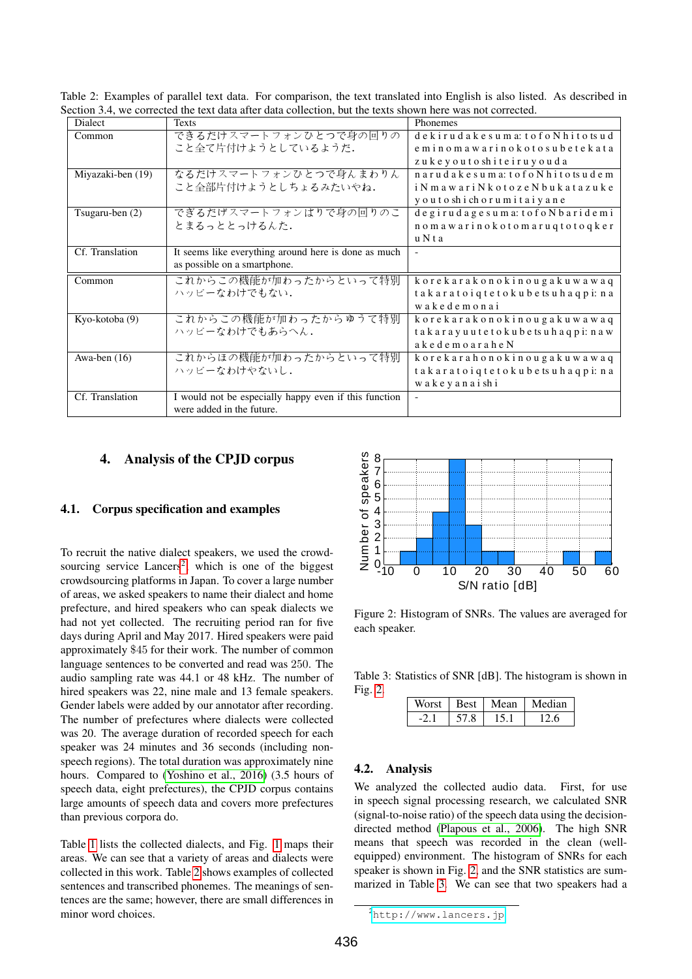<span id="page-2-1"></span>Table 2: Examples of parallel text data. For comparison, the text translated into English is also listed. As described in Section 3.4, we corrected the text data after data collection, but the texts shown here was not corrected.

| <b>Dialect</b>    | <b>Texts</b>                                          | Phonemes                                            |  |
|-------------------|-------------------------------------------------------|-----------------------------------------------------|--|
| Common            | できるだけスマートフォンひとつで身の回りの                                 | dekirudakesuma: tofoNhitotsud                       |  |
|                   | こと全て片付けようとしているようだ.                                    | eminomawarinokotosubetekata                         |  |
|                   |                                                       | zukeyoutoshiteiruyouda                              |  |
| Miyazaki-ben (19) | なるだけスマートフォンひとつで身んまわりん                                 | narudakesuma: tofoNhitotsudem                       |  |
|                   | こと全部片付けようとしちょるみたいやね.                                  | i N m a w a r i N k o t o z e N b u k a t a z u k e |  |
|                   |                                                       | y o u t o sh i ch o r u m i t a i y a n e           |  |
| Tsugaru-ben $(2)$ | でぎるだげスマートフォンばりで身の回りのこ                                 | degirudagesuma: tofoNbaridemi                       |  |
|                   | とまるっととっけるんた.                                          | nomawarinokotomaruqtotoqker                         |  |
|                   |                                                       | uNta                                                |  |
| Cf. Translation   | It seems like everything around here is done as much  |                                                     |  |
|                   | as possible on a smartphone.                          |                                                     |  |
| Common            | これからこの機能が加わったからといって特別                                 | korekarakonokinougakuwawaq                          |  |
|                   | ハッピーなわけでもない.                                          | takaratoiqtetokubetsuhaqpi: na                      |  |
|                   |                                                       | wakedemonai                                         |  |
| Kyo-kotoba (9)    | これからこの機能が加わったからゆうて特別                                  | korekarakonokinougakuwawaq                          |  |
|                   | ハッピーなわけでもあらへん.                                        | takarayuutetokubetsuhaqpi: naw                      |  |
|                   |                                                       | akedemoaraheN                                       |  |
| Awa-ben $(16)$    | これからほの機能が加わったからといって特別                                 | korekarahonokinougakuwawaq                          |  |
|                   | ハッピーなわけやないし.                                          | takaratoigtetokubetsuhaqpi: na                      |  |
|                   |                                                       | wakeyanaishi                                        |  |
| Cf. Translation   | I would not be especially happy even if this function | $\blacksquare$                                      |  |
|                   | were added in the future.                             |                                                     |  |

#### 4. Analysis of the CPJD corpus

## 4.1. Corpus specification and examples

To recruit the native dialect speakers, we used the crowdsourcing service  $Lancers<sup>2</sup>$  $Lancers<sup>2</sup>$  $Lancers<sup>2</sup>$ , which is one of the biggest crowdsourcing platforms in Japan. To cover a large number of areas, we asked speakers to name their dialect and home prefecture, and hired speakers who can speak dialects we had not yet collected. The recruiting period ran for five days during April and May 2017. Hired speakers were paid approximately \$45 for their work. The number of common language sentences to be converted and read was 250. The audio sampling rate was 44.1 or 48 kHz. The number of hired speakers was 22, nine male and 13 female speakers. Gender labels were added by our annotator after recording. The number of prefectures where dialects were collected was 20. The average duration of recorded speech for each speaker was 24 minutes and 36 seconds (including nonspeech regions). The total duration was approximately nine hours. Compared to [\(Yoshino et al., 2016\)](#page-3-7) (3.5 hours of speech data, eight prefectures), the CPJD corpus contains large amounts of speech data and covers more prefectures than previous corpora do.

Table [1](#page-1-2) lists the collected dialects, and Fig. [1](#page-1-1) maps their areas. We can see that a variety of areas and dialects were collected in this work. Table [2](#page-2-1) shows examples of collected sentences and transcribed phonemes. The meanings of sentences are the same; however, there are small differences in minor word choices.



<span id="page-2-2"></span>Figure 2: Histogram of SNRs. The values are averaged for each speaker.

Table 3: Statistics of SNR [dB]. The histogram is shown in Fig. [2.](#page-2-2)

<span id="page-2-3"></span>

| Worst | <b>Best</b> | Mean | Median |
|-------|-------------|------|--------|
|       |             |      |        |

#### 4.2. Analysis

We analyzed the collected audio data. First, for use in speech signal processing research, we calculated SNR (signal-to-noise ratio) of the speech data using the decisiondirected method [\(Plapous et al., 2006\)](#page-3-11). The high SNR means that speech was recorded in the clean (wellequipped) environment. The histogram of SNRs for each speaker is shown in Fig. [2,](#page-2-2) and the SNR statistics are summarized in Table [3.](#page-2-3) We can see that two speakers had a

<span id="page-2-0"></span><sup>2</sup><http://www.lancers.jp>